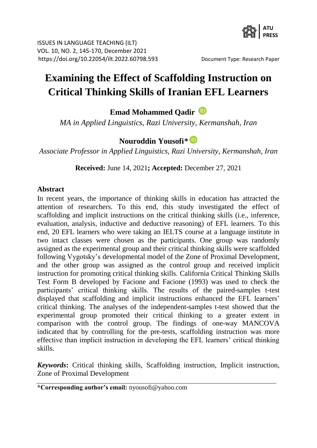

# **Examining the Effect of Scaffolding Instruction on Critical Thinking Skills of Iranian EFL Learners**

**Emad Mohammed Qadir**

*MA in Applied Linguistics, Razi University, Kermanshah, Iran*

# **Nouroddin Yousofi***\**

*Associate Professor in Applied Linguistics, Razi University, Kermanshah, Iran*

**Received:** June 14, 2021**; Accepted:** December 27, 2021

#### **Abstract**

In recent years, the importance of thinking skills in education has attracted the attention of researchers. To this end, this study investigated the effect of scaffolding and implicit instructions on the critical thinking skills (i.e., inference, evaluation, analysis, inductive and deductive reasoning) of EFL learners. To this end, 20 EFL learners who were taking an IELTS course at a language institute in two intact classes were chosen as the participants. One group was randomly assigned as the experimental group and their critical thinking skills were scaffolded following Vygotsky's developmental model of the Zone of Proximal Development, and the other group was assigned as the control group and received implicit instruction for promoting critical thinking skills. California Critical Thinking Skills Test Form B developed by Facione and Facione (1993) was used to check the participants' critical thinking skills. The results of the paired-samples t-test displayed that scaffolding and implicit instructions enhanced the EFL learners' critical thinking. The analyses of the independent-samples t-test showed that the experimental group promoted their critical thinking to a greater extent in comparison with the control group. The findings of one-way MANCOVA indicated that by controlling for the pre-tests, scaffolding instruction was more effective than implicit instruction in developing the EFL learners' critical thinking skills.

*Keywords***:** Critical thinking skills, Scaffolding instruction, Implicit instruction, Zone of Proximal Development

**\*Corresponding author's email:** nyousofi@yahoo.com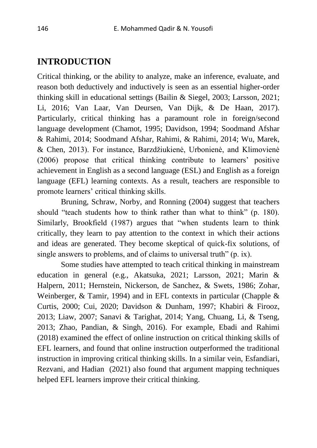## **INTRODUCTION**

Critical thinking, or the ability to analyze, make an inference, evaluate, and reason both deductively and inductively is seen as an essential higher-order thinking skill in educational settings (Bailin & Siegel, 2003; Larsson, 2021; Li, 2016; Van Laar, Van Deursen, Van Dijk, & De Haan, 2017). Particularly, critical thinking has a paramount role in foreign/second language development (Chamot, 1995; Davidson, 1994; Soodmand Afshar & Rahimi, 2014; Soodmand Afshar, Rahimi, & Rahimi, 2014; Wu, Marek, & Chen, 2013). For instance, Barzdžiukienė, Urbonienė, and Klimovienė (2006) propose that critical thinking contribute to learners' positive achievement in English as a second language (ESL) and English as a foreign language (EFL) learning contexts. As a result, teachers are responsible to promote learners' critical thinking skills.

Bruning, Schraw, Norby, and Ronning (2004) suggest that teachers should "teach students how to think rather than what to think" (p. 180). Similarly, Brookfield (1987) argues that "when students learn to think critically, they learn to pay attention to the context in which their actions and ideas are generated. They become skeptical of quick-fix solutions, of single answers to problems, and of claims to universal truth" (p. ix).

Some studies have attempted to teach critical thinking in mainstream education in general (e.g., Akatsuka, 2021; Larsson, 2021; Marin & Halpern, 2011; Hernstein, Nickerson, de Sanchez, & Swets, 1986; Zohar, Weinberger, & Tamir, 1994) and in EFL contexts in particular (Chapple & Curtis, 2000; Cui, 2020; Davidson & Dunham, 1997; Khabiri & Firooz, 2013; Liaw, 2007; Sanavi & Tarighat, 2014; Yang, Chuang, Li, & Tseng, 2013; Zhao, Pandian, & Singh, 2016). For example, Ebadi and Rahimi (2018) examined the effect of online instruction on critical thinking skills of EFL learners, and found that online instruction outperformed the traditional instruction in improving critical thinking skills. In a similar vein, Esfandiari, Rezvani, and Hadian (2021) also found that argument mapping techniques helped EFL learners improve their critical thinking.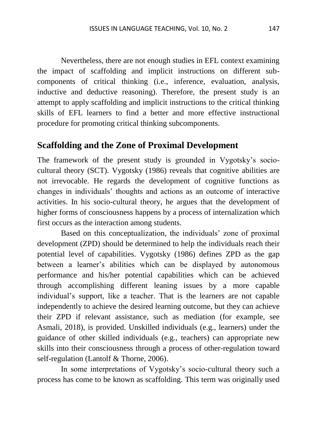Nevertheless, there are not enough studies in EFL context examining the impact of scaffolding and implicit instructions on different subcomponents of critical thinking (i.e., inference, evaluation, analysis, inductive and deductive reasoning). Therefore, the present study is an attempt to apply scaffolding and implicit instructions to the critical thinking skills of EFL learners to find a better and more effective instructional procedure for promoting critical thinking subcomponents.

#### **Scaffolding and the Zone of Proximal Development**

The framework of the present study is grounded in Vygotsky's sociocultural theory (SCT). Vygotsky (1986) reveals that cognitive abilities are not irrevocable. He regards the development of cognitive functions as changes in individuals' thoughts and actions as an outcome of interactive activities. In his socio-cultural theory, he argues that the development of higher forms of consciousness happens by a process of internalization which first occurs as the interaction among students.

Based on this conceptualization, the individuals' zone of proximal development (ZPD) should be determined to help the individuals reach their potential level of capabilities. Vygotsky (1986) defines ZPD as the gap between a learner's abilities which can be displayed by autonomous performance and his/her potential capabilities which can be achieved through accomplishing different leaning issues by a more capable individual's support, like a teacher. That is the learners are not capable independently to achieve the desired learning outcome, but they can achieve their ZPD if relevant assistance, such as mediation (for example, see Asmali, 2018), is provided. Unskilled individuals (e.g., learners) under the guidance of other skilled individuals (e.g., teachers) can appropriate new skills into their consciousness through a process of other-regulation toward self-regulation (Lantolf & Thorne, 2006).

In some interpretations of Vygotsky's socio-cultural theory such a process has come to be known as scaffolding. This term was originally used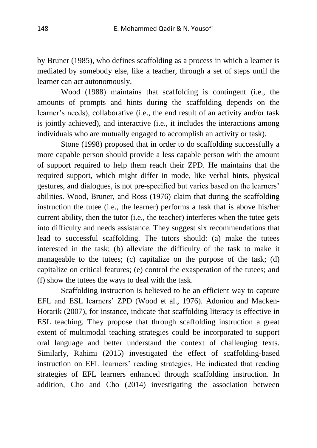by Bruner (1985), who defines scaffolding as a process in which a learner is mediated by somebody else, like a teacher, through a set of steps until the learner can act autonomously.

Wood (1988) maintains that scaffolding is contingent (i.e., the amounts of prompts and hints during the scaffolding depends on the learner's needs), collaborative (i.e., the end result of an activity and/or task is jointly achieved), and interactive (i.e., it includes the interactions among individuals who are mutually engaged to accomplish an activity or task).

Stone (1998) proposed that in order to do scaffolding successfully a more capable person should provide a less capable person with the amount of support required to help them reach their ZPD. He maintains that the required support, which might differ in mode, like verbal hints, physical gestures, and dialogues, is not pre-specified but varies based on the learners' abilities. Wood, Bruner, and Ross (1976) claim that during the scaffolding instruction the tutee (i.e., the learner) performs a task that is above his/her current ability, then the tutor (i.e., the teacher) interferes when the tutee gets into difficulty and needs assistance. They suggest six recommendations that lead to successful scaffolding. The tutors should: (a) make the tutees interested in the task; (b) alleviate the difficulty of the task to make it manageable to the tutees; (c) capitalize on the purpose of the task; (d) capitalize on critical features; (e) control the exasperation of the tutees; and (f) show the tutees the ways to deal with the task.

Scaffolding instruction is believed to be an efficient way to capture EFL and ESL learners' ZPD (Wood et al., 1976). Adoniou and Macken-Horarik (2007), for instance, indicate that scaffolding literacy is effective in ESL teaching. They propose that through scaffolding instruction a great extent of multimodal teaching strategies could be incorporated to support oral language and better understand the context of challenging texts. Similarly, Rahimi (2015) investigated the effect of scaffolding-based instruction on EFL learners' reading strategies. He indicated that reading strategies of EFL learners enhanced through scaffolding instruction. In addition, Cho and Cho (2014) investigating the association between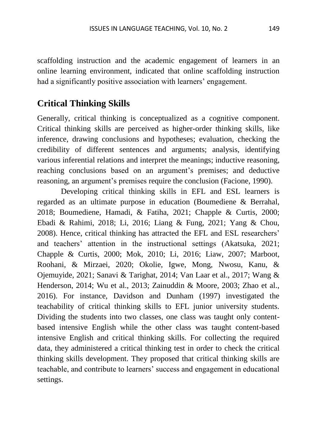scaffolding instruction and the academic engagement of learners in an online learning environment, indicated that online scaffolding instruction had a significantly positive association with learners' engagement.

## **Critical Thinking Skills**

Generally, critical thinking is conceptualized as a cognitive component. Critical thinking skills are perceived as higher-order thinking skills, like inference, drawing conclusions and hypotheses; evaluation, checking the credibility of different sentences and arguments; analysis, identifying various inferential relations and interpret the meanings; inductive reasoning, reaching conclusions based on an argument's premises; and deductive reasoning, an argument's premises require the conclusion (Facione, 1990).

Developing critical thinking skills in EFL and ESL learners is regarded as an ultimate purpose in education (Boumediene & Berrahal, 2018; Boumediene, Hamadi, & Fatiha, 2021; Chapple & Curtis, 2000; Ebadi & Rahimi, 2018; Li, 2016; Liang & Fung, 2021; Yang & Chou, 2008). Hence, critical thinking has attracted the EFL and ESL researchers' and teachers' attention in the instructional settings (Akatsuka, 2021; Chapple & Curtis, 2000; Mok, 2010; Li, 2016; Liaw, 2007; Marboot, Roohani, & Mirzaei, 2020; Okolie, Igwe, Mong, Nwosu, Kanu, & Ojemuyide, 2021; Sanavi & Tarighat, 2014; Van Laar et al., 2017; Wang & Henderson, 2014; Wu et al., 2013; Zainuddin & Moore, 2003; Zhao et al., 2016). For instance, Davidson and Dunham (1997) investigated the teachability of critical thinking skills to EFL junior university students. Dividing the students into two classes, one class was taught only contentbased intensive English while the other class was taught content-based intensive English and critical thinking skills. For collecting the required data, they administered a critical thinking test in order to check the critical thinking skills development. They proposed that critical thinking skills are teachable, and contribute to learners' success and engagement in educational settings.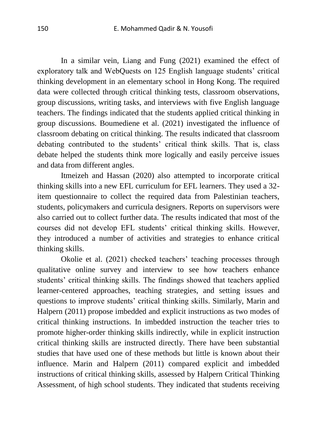In a similar vein, Liang and Fung (2021) examined the effect of exploratory talk and WebQuests on 125 English language students' critical thinking development in an elementary school in Hong Kong. The required data were collected through critical thinking tests, classroom observations, group discussions, writing tasks, and interviews with five English language teachers. The findings indicated that the students applied critical thinking in group discussions. Boumediene et al. (2021) investigated the influence of classroom debating on critical thinking. The results indicated that classroom debating contributed to the students' critical think skills. That is, class debate helped the students think more logically and easily perceive issues and data from different angles.

Itmeizeh and Hassan (2020) also attempted to incorporate critical thinking skills into a new EFL curriculum for EFL learners. They used a 32 item questionnaire to collect the required data from Palestinian teachers, students, policymakers and curricula designers. Reports on supervisors were also carried out to collect further data. The results indicated that most of the courses did not develop EFL students' critical thinking skills. However, they introduced a number of activities and strategies to enhance critical thinking skills.

Okolie et al. (2021) checked teachers' teaching processes through qualitative online survey and interview to see how teachers enhance students' critical thinking skills. The findings showed that teachers applied learner-centered approaches, teaching strategies, and setting issues and questions to improve students' critical thinking skills. Similarly, Marin and Halpern (2011) propose imbedded and explicit instructions as two modes of critical thinking instructions. In imbedded instruction the teacher tries to promote higher-order thinking skills indirectly, while in explicit instruction critical thinking skills are instructed directly. There have been substantial studies that have used one of these methods but little is known about their influence. Marin and Halpern (2011) compared explicit and imbedded instructions of critical thinking skills, assessed by Halpern Critical Thinking Assessment, of high school students. They indicated that students receiving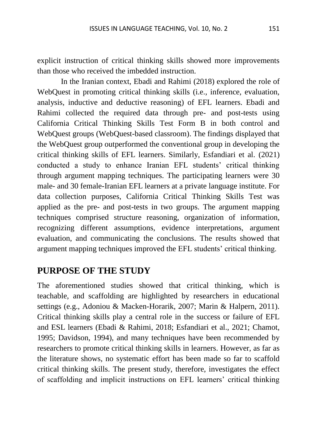explicit instruction of critical thinking skills showed more improvements than those who received the imbedded instruction.

In the Iranian context, Ebadi and Rahimi (2018) explored the role of WebQuest in promoting critical thinking skills (i.e., inference, evaluation, analysis, inductive and deductive reasoning) of EFL learners. Ebadi and Rahimi collected the required data through pre- and post-tests using California Critical Thinking Skills Test Form B in both control and WebQuest groups (WebQuest-based classroom). The findings displayed that the WebQuest group outperformed the conventional group in developing the critical thinking skills of EFL learners. Similarly, Esfandiari et al. (2021) conducted a study to enhance Iranian EFL students' critical thinking through argument mapping techniques. The participating learners were 30 male- and 30 female-Iranian EFL learners at a private language institute. For data collection purposes, California Critical Thinking Skills Test was applied as the pre- and post-tests in two groups. The argument mapping techniques comprised structure reasoning, organization of information, recognizing different assumptions, evidence interpretations, argument evaluation, and communicating the conclusions. The results showed that argument mapping techniques improved the EFL students' critical thinking.

# **PURPOSE OF THE STUDY**

The aforementioned studies showed that critical thinking, which is teachable, and scaffolding are highlighted by researchers in educational settings (e.g., Adoniou & Macken-Horarik, 2007; Marin & Halpern, 2011). Critical thinking skills play a central role in the success or failure of EFL and ESL learners (Ebadi & Rahimi, 2018; Esfandiari et al., 2021; Chamot, 1995; Davidson, 1994), and many techniques have been recommended by researchers to promote critical thinking skills in learners. However, as far as the literature shows, no systematic effort has been made so far to scaffold critical thinking skills. The present study, therefore, investigates the effect of scaffolding and implicit instructions on EFL learners' critical thinking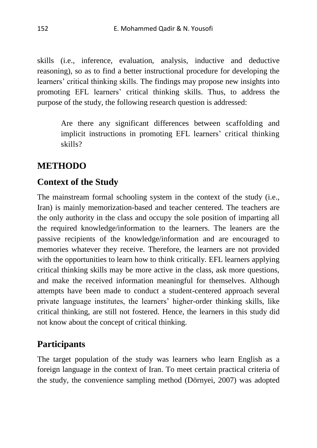skills (i.e., inference, evaluation, analysis, inductive and deductive reasoning), so as to find a better instructional procedure for developing the learners' critical thinking skills. The findings may propose new insights into promoting EFL learners' critical thinking skills. Thus, to address the purpose of the study, the following research question is addressed:

Are there any significant differences between scaffolding and implicit instructions in promoting EFL learners' critical thinking skills?

# **METHODO**

## **Context of the Study**

The mainstream formal schooling system in the context of the study (i.e., Iran) is mainly memorization-based and teacher centered. The teachers are the only authority in the class and occupy the sole position of imparting all the required knowledge/information to the learners. The leaners are the passive recipients of the knowledge/information and are encouraged to memories whatever they receive. Therefore, the learners are not provided with the opportunities to learn how to think critically. EFL learners applying critical thinking skills may be more active in the class, ask more questions, and make the received information meaningful for themselves. Although attempts have been made to conduct a student-centered approach several private language institutes, the learners' higher-order thinking skills, like critical thinking, are still not fostered. Hence, the learners in this study did not know about the concept of critical thinking.

# **Participants**

The target population of the study was learners who learn English as a foreign language in the context of Iran. To meet certain practical criteria of the study, the convenience sampling method (Dörnyei, 2007) was adopted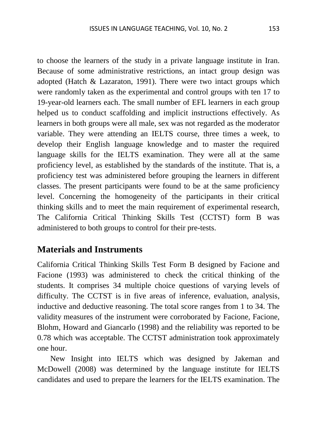to choose the learners of the study in a private language institute in Iran. Because of some administrative restrictions, an intact group design was adopted (Hatch & Lazaraton, 1991). There were two intact groups which were randomly taken as the experimental and control groups with ten 17 to 19-year-old learners each. The small number of EFL learners in each group helped us to conduct scaffolding and implicit instructions effectively. As learners in both groups were all male, sex was not regarded as the moderator variable. They were attending an IELTS course, three times a week, to develop their English language knowledge and to master the required language skills for the IELTS examination. They were all at the same proficiency level, as established by the standards of the institute. That is, a proficiency test was administered before grouping the learners in different classes. The present participants were found to be at the same proficiency level. Concerning the homogeneity of the participants in their critical thinking skills and to meet the main requirement of experimental research, The California Critical Thinking Skills Test (CCTST) form B was administered to both groups to control for their pre-tests.

#### **Materials and Instruments**

California Critical Thinking Skills Test Form B designed by Facione and Facione (1993) was administered to check the critical thinking of the students. It comprises 34 multiple choice questions of varying levels of difficulty. The CCTST is in five areas of inference, evaluation, analysis, inductive and deductive reasoning. The total score ranges from 1 to 34. The validity measures of the instrument were corroborated by Facione, Facione, Blohm, Howard and Giancarlo (1998) and the reliability was reported to be 0.78 which was acceptable. The CCTST administration took approximately one hour.

New Insight into IELTS which was designed by Jakeman and McDowell (2008) was determined by the language institute for IELTS candidates and used to prepare the learners for the IELTS examination. The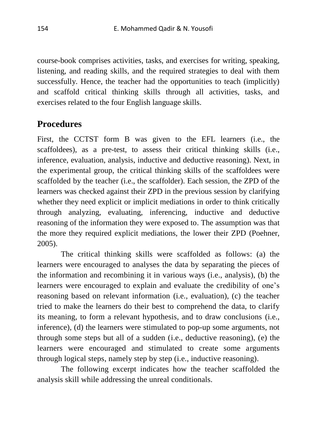course-book comprises activities, tasks, and exercises for writing, speaking, listening, and reading skills, and the required strategies to deal with them successfully. Hence, the teacher had the opportunities to teach (implicitly) and scaffold critical thinking skills through all activities, tasks, and exercises related to the four English language skills.

## **Procedures**

First, the CCTST form B was given to the EFL learners (i.e., the scaffoldees), as a pre-test, to assess their critical thinking skills (i.e., inference, evaluation, analysis, inductive and deductive reasoning). Next, in the experimental group, the critical thinking skills of the scaffoldees were scaffolded by the teacher (i.e., the scaffolder). Each session, the ZPD of the learners was checked against their ZPD in the previous session by clarifying whether they need explicit or implicit mediations in order to think critically through analyzing, evaluating, inferencing, inductive and deductive reasoning of the information they were exposed to. The assumption was that the more they required explicit mediations, the lower their ZPD (Poehner, 2005).

The critical thinking skills were scaffolded as follows: (a) the learners were encouraged to analyses the data by separating the pieces of the information and recombining it in various ways (i.e., analysis), (b) the learners were encouraged to explain and evaluate the credibility of one's reasoning based on relevant information (i.e., evaluation), (c) the teacher tried to make the learners do their best to comprehend the data, to clarify its meaning, to form a relevant hypothesis, and to draw conclusions (i.e., inference), (d) the learners were stimulated to pop-up some arguments, not through some steps but all of a sudden (i.e., deductive reasoning), (e) the learners were encouraged and stimulated to create some arguments through logical steps, namely step by step (i.e., inductive reasoning).

The following excerpt indicates how the teacher scaffolded the analysis skill while addressing the unreal conditionals.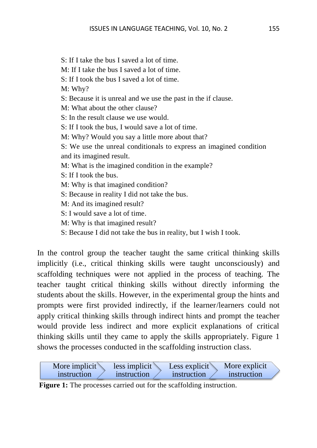S: If I take the bus I saved a lot of time. M: If I take the bus I saved a lot of time. S: If I took the bus I saved a lot of time. M: Why? S: Because it is unreal and we use the past in the if clause. M: What about the other clause? S: In the result clause we use would. S: If I took the bus, I would save a lot of time. M: Why? Would you say a little more about that? S: We use the unreal conditionals to express an imagined condition and its imagined result. M: What is the imagined condition in the example? S: If I took the bus. M: Why is that imagined condition? S: Because in reality I did not take the bus. M: And its imagined result? S: I would save a lot of time. M: Why is that imagined result?

S: Because I did not take the bus in reality, but I wish I took.

In the control group the teacher taught the same critical thinking skills implicitly (i.e., critical thinking skills were taught unconsciously) and scaffolding techniques were not applied in the process of teaching. The teacher taught critical thinking skills without directly informing the students about the skills. However, in the experimental group the hints and prompts were first provided indirectly, if the learner/learners could not apply critical thinking skills through indirect hints and prompt the teacher would provide less indirect and more explicit explanations of critical thinking skills until they came to apply the skills appropriately. Figure 1 shows the processes conducted in the scaffolding instruction class.

| More implicit | More explicit |
|---------------|---------------|
| less implicit | Less explicit |
| instruction   | instruction   |
| instruction   | instruction   |

**Figure 1:** The processes carried out for the scaffolding instruction.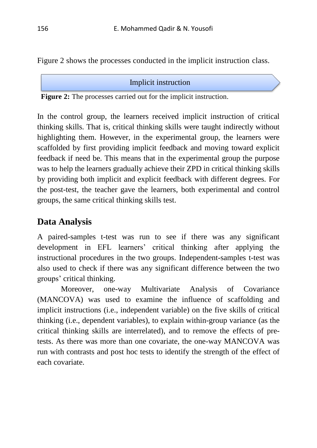Figure 2 shows the processes conducted in the implicit instruction class.

Implicit instruction

 **Figure 2:** The processes carried out for the implicit instruction.

In the control group, the learners received implicit instruction of critical thinking skills. That is, critical thinking skills were taught indirectly without highlighting them. However, in the experimental group, the learners were scaffolded by first providing implicit feedback and moving toward explicit feedback if need be. This means that in the experimental group the purpose was to help the learners gradually achieve their ZPD in critical thinking skills by providing both implicit and explicit feedback with different degrees. For the post-test, the teacher gave the learners, both experimental and control groups, the same critical thinking skills test.

# **Data Analysis**

A paired-samples t-test was run to see if there was any significant development in EFL learners' critical thinking after applying the instructional procedures in the two groups. Independent-samples t-test was also used to check if there was any significant difference between the two groups' critical thinking.

Moreover, one-way Multivariate Analysis of Covariance (MANCOVA) was used to examine the influence of scaffolding and implicit instructions (i.e., independent variable) on the five skills of critical thinking (i.e., dependent variables), to explain within-group variance (as the critical thinking skills are interrelated), and to remove the effects of pretests. As there was more than one covariate, the one-way MANCOVA was run with contrasts and post hoc tests to identify the strength of the effect of each covariate.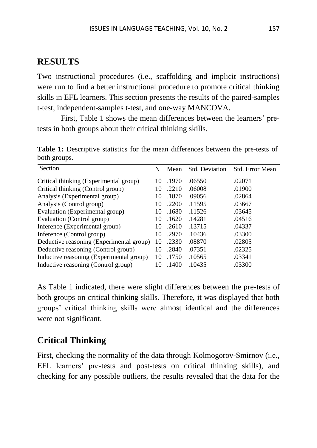#### **RESULTS**

Two instructional procedures (i.e., scaffolding and implicit instructions) were run to find a better instructional procedure to promote critical thinking skills in EFL learners. This section presents the results of the paired-samples t-test, independent-samples t-test, and one-way MANCOVA.

First, Table 1 shows the mean differences between the learners' pretests in both groups about their critical thinking skills.

**Table 1:** Descriptive statistics for the mean differences between the pre-tests of both groups.

| Section                                  | N  | Mean  | <b>Std. Deviation</b> | Std. Error Mean |
|------------------------------------------|----|-------|-----------------------|-----------------|
| Critical thinking (Experimental group)   | 10 | .1970 | .06550                | .02071          |
| Critical thinking (Control group)        | 10 | .2210 | .06008                | .01900          |
| Analysis (Experimental group)            | 10 | .1870 | .09056                | .02864          |
| Analysis (Control group)                 | 10 | .2200 | .11595                | .03667          |
| Evaluation (Experimental group)          | 10 | .1680 | .11526                | .03645          |
| Evaluation (Control group)               | 10 | .1620 | .14281                | .04516          |
| Inference (Experimental group)           | 10 | .2610 | .13715                | .04337          |
| Inference (Control group)                | 10 | .2970 | .10436                | .03300          |
| Deductive reasoning (Experimental group) | 10 | .2330 | .08870                | .02805          |
| Deductive reasoning (Control group)      | 10 | .2840 | .07351                | .02325          |
| Inductive reasoning (Experimental group) | 10 | .1750 | .10565                | .03341          |
| Inductive reasoning (Control group)      | 10 | .1400 | .10435                | .03300          |

As Table 1 indicated, there were slight differences between the pre-tests of both groups on critical thinking skills. Therefore, it was displayed that both groups' critical thinking skills were almost identical and the differences were not significant.

## **Critical Thinking**

First, checking the normality of the data through Kolmogorov-Smirnov (i.e., EFL learners' pre-tests and post-tests on critical thinking skills), and checking for any possible outliers, the results revealed that the data for the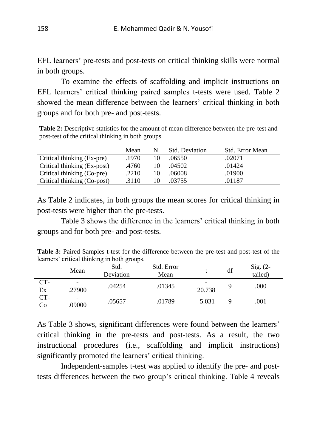EFL learners' pre-tests and post-tests on critical thinking skills were normal in both groups.

To examine the effects of scaffolding and implicit instructions on EFL learners' critical thinking paired samples t-tests were used. Table 2 showed the mean difference between the learners' critical thinking in both groups and for both pre- and post-tests.

**Table 2:** Descriptive statistics for the amount of mean difference between the pre-test and post-test of the critical thinking in both groups.

|                             | Mean  | N  | Std. Deviation | Std. Error Mean |
|-----------------------------|-------|----|----------------|-----------------|
| Critical thinking (Ex-pre)  | .1970 | 10 | .06550         | .02071          |
| Critical thinking (Ex-post) | .4760 | 10 | .04502         | .01424          |
| Critical thinking (Co-pre)  | .2210 | 10 | .06008         | .01900          |
| Critical thinking (Co-post) | .3110 |    | .03755         | .01187          |
|                             |       |    |                |                 |

As Table 2 indicates, in both groups the mean scores for critical thinking in post-tests were higher than the pre-tests.

Table 3 shows the difference in the learners' critical thinking in both groups and for both pre- and post-tests.

**Table 3:** Paired Samples t-test for the difference between the pre-test and post-test of the learners' critical thinking in both groups.

|             | Mean                                   | Std.<br>Deviation | Std. Error<br>Mean |          | df | Sig. $(2-$<br>tailed) |
|-------------|----------------------------------------|-------------------|--------------------|----------|----|-----------------------|
| $CT-$<br>Ex | $\qquad \qquad \blacksquare$<br>.27900 | .04254            | .01345             | 20.738   |    | .000                  |
| CT-<br>Co   | $\qquad \qquad \blacksquare$<br>.09000 | .05657            | .01789             | $-5.031$ |    | .001                  |

As Table 3 shows, significant differences were found between the learners' critical thinking in the pre-tests and post-tests. As a result, the two instructional procedures (i.e., scaffolding and implicit instructions) significantly promoted the learners' critical thinking.

Independent-samples t-test was applied to identify the pre- and posttests differences between the two group's critical thinking. Table 4 reveals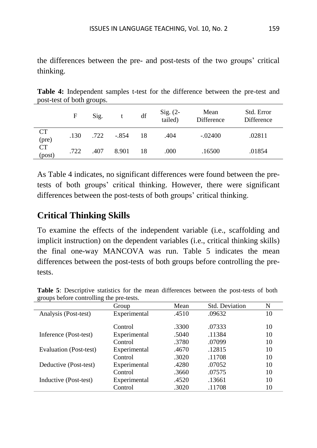the differences between the pre- and post-tests of the two groups' critical thinking.

**Table 4:** Independent samples t-test for the difference between the pre-test and post-test of both groups.

|                     | F    | Sig. |         | df | Sig. (2-<br>tailed) | Mean<br>Difference | Std. Error<br>Difference |
|---------------------|------|------|---------|----|---------------------|--------------------|--------------------------|
| <b>CT</b><br>(pre)  | .130 | .722 | $-.854$ | 18 | .404                | $-.02400$          | .02811                   |
| <b>CT</b><br>(post) | .722 | .407 | 8.901   | 18 | .000                | .16500             | .01854                   |

As Table 4 indicates, no significant differences were found between the pretests of both groups' critical thinking. However, there were significant differences between the post-tests of both groups' critical thinking.

# **Critical Thinking Skills**

To examine the effects of the independent variable (i.e., scaffolding and implicit instruction) on the dependent variables (i.e., critical thinking skills) the final one-way MANCOVA was run. Table 5 indicates the mean differences between the post-tests of both groups before controlling the pretests.

|                        | Group        | Mean  | <b>Std. Deviation</b> | N  |
|------------------------|--------------|-------|-----------------------|----|
| Analysis (Post-test)   | Experimental | .4510 | .09632                | 10 |
|                        | Control      | .3300 | .07333                | 10 |
| Inference (Post-test)  | Experimental | .5040 | .11384                | 10 |
|                        | Control      | .3780 | .07099                | 10 |
| Evaluation (Post-test) | Experimental | .4670 | .12815                | 10 |
|                        | Control      | .3020 | .11708                | 10 |
| Deductive (Post-test)  | Experimental | .4280 | .07052                | 10 |
|                        | Control      | .3660 | .07575                | 10 |
| Inductive (Post-test)  | Experimental | .4520 | .13661                | 10 |
|                        | Control      | .3020 | .11708                | 10 |

**Table 5**: Descriptive statistics for the mean differences between the post-tests of both groups before controlling the pre-tests.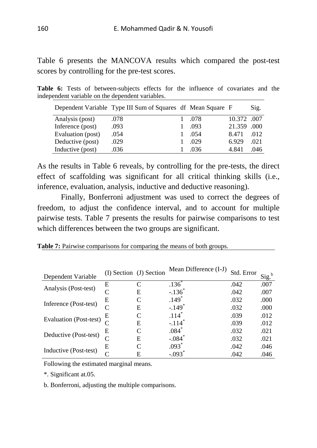Table 6 presents the MANCOVA results which compared the post-test scores by controlling for the pre-test scores.

**Table 6:** Tests of between-subjects effects for the influence of covariates and the independent variable on the dependent variables.

|                   | Dependent Variable Type III Sum of Squares df Mean Square F |      |             | Sig. |
|-------------------|-------------------------------------------------------------|------|-------------|------|
| Analysis (post)   | .078                                                        | .078 | 10.372 .007 |      |
| Inference (post)  | .093                                                        | .093 | 21.359 .000 |      |
| Evaluation (post) | .054                                                        | .054 | 8.471       | .012 |
| Deductive (post)  | .029                                                        | .029 | 6.929       | .021 |
| Inductive (post)  | .036                                                        | .036 | 4.841       | .046 |

As the results in Table 6 reveals, by controlling for the pre-tests, the direct effect of scaffolding was significant for all critical thinking skills (i.e., inference, evaluation, analysis, inductive and deductive reasoning).

Finally, Bonferroni adjustment was used to correct the degrees of freedom, to adjust the confidence interval, and to account for multiple pairwise tests. Table 7 presents the results for pairwise comparisons to test which differences between the two groups are significant.

|  |  |                                                     | . .    |  |
|--|--|-----------------------------------------------------|--------|--|
|  |  |                                                     |        |  |
|  |  |                                                     |        |  |
|  |  |                                                     |        |  |
|  |  |                                                     |        |  |
|  |  |                                                     |        |  |
|  |  |                                                     |        |  |
|  |  |                                                     |        |  |
|  |  |                                                     |        |  |
|  |  |                                                     |        |  |
|  |  |                                                     |        |  |
|  |  | $\mathbf{r}$ $\mathbf{r}$ $\mathbf{r}$ $\mathbf{r}$ | $\sim$ |  |

**Table 7:** Pairwise comparisons for comparing the means of both groups.

| Dependent Variable            |   | (I) Section (J) Section | Mean Difference (I-J) | Std. Error | S1g. |
|-------------------------------|---|-------------------------|-----------------------|------------|------|
|                               | E |                         | $.136$ <sup>*</sup>   | .042       | .007 |
| Analysis (Post-test)          | C | E                       | $-.136$ <sup>*</sup>  | .042       | .007 |
| Inference (Post-test)         | Е |                         | $.149*$               | .032       | .000 |
|                               | C | E                       | $-.149$ <sup>*</sup>  | .032       | .000 |
| <b>Evaluation (Post-test)</b> | Е |                         | $.114*$               | .039       | .012 |
|                               |   | Е                       | $-.114$ <sup>*</sup>  | .039       | .012 |
| Deductive (Post-test)         | E |                         | $.084*$               | .032       | .021 |
|                               |   | Е                       | $-.084$               | .032       | .021 |
|                               | Е |                         | $.093*$               | .042       | .046 |
| Inductive (Post-test)         |   | E                       | $-.093$               | .042       | .046 |

Following the estimated marginal means.

\*. Significant at.05.

b. Bonferroni, adjusting the multiple comparisons.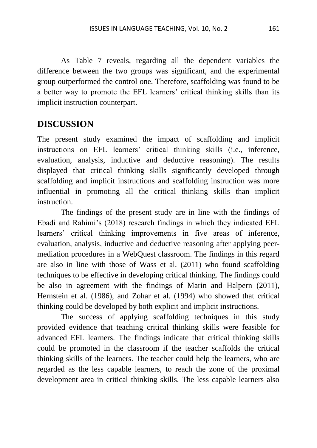As Table 7 reveals, regarding all the dependent variables the difference between the two groups was significant, and the experimental group outperformed the control one. Therefore, scaffolding was found to be a better way to promote the EFL learners' critical thinking skills than its implicit instruction counterpart.

# **DISCUSSION**

The present study examined the impact of scaffolding and implicit instructions on EFL learners' critical thinking skills (i.e., inference, evaluation, analysis, inductive and deductive reasoning). The results displayed that critical thinking skills significantly developed through scaffolding and implicit instructions and scaffolding instruction was more influential in promoting all the critical thinking skills than implicit instruction.

The findings of the present study are in line with the findings of Ebadi and Rahimi's (2018) research findings in which they indicated EFL learners' critical thinking improvements in five areas of inference, evaluation, analysis, inductive and deductive reasoning after applying peermediation procedures in a WebQuest classroom. The findings in this regard are also in line with those of Wass et al. (2011) who found scaffolding techniques to be effective in developing critical thinking. The findings could be also in agreement with the findings of Marin and Halpern (2011), Hernstein et al. (1986), and Zohar et al. (1994) who showed that critical thinking could be developed by both explicit and implicit instructions.

The success of applying scaffolding techniques in this study provided evidence that teaching critical thinking skills were feasible for advanced EFL learners. The findings indicate that critical thinking skills could be promoted in the classroom if the teacher scaffolds the critical thinking skills of the learners. The teacher could help the learners, who are regarded as the less capable learners, to reach the zone of the proximal development area in critical thinking skills. The less capable learners also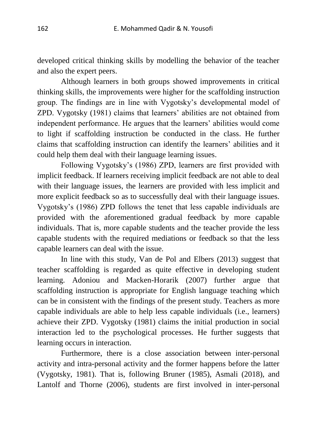developed critical thinking skills by modelling the behavior of the teacher and also the expert peers.

Although learners in both groups showed improvements in critical thinking skills, the improvements were higher for the scaffolding instruction group. The findings are in line with Vygotsky's developmental model of ZPD. Vygotsky (1981) claims that learners' abilities are not obtained from independent performance. He argues that the learners' abilities would come to light if scaffolding instruction be conducted in the class. He further claims that scaffolding instruction can identify the learners' abilities and it could help them deal with their language learning issues.

Following Vygotsky's (1986) ZPD, learners are first provided with implicit feedback. If learners receiving implicit feedback are not able to deal with their language issues, the learners are provided with less implicit and more explicit feedback so as to successfully deal with their language issues. Vygotsky's (1986) ZPD follows the tenet that less capable individuals are provided with the aforementioned gradual feedback by more capable individuals. That is, more capable students and the teacher provide the less capable students with the required mediations or feedback so that the less capable learners can deal with the issue.

In line with this study, Van de Pol and Elbers (2013) suggest that teacher scaffolding is regarded as quite effective in developing student learning. Adoniou and Macken-Horarik (2007) further argue that scaffolding instruction is appropriate for English language teaching which can be in consistent with the findings of the present study. Teachers as more capable individuals are able to help less capable individuals (i.e., learners) achieve their ZPD. Vygotsky (1981) claims the initial production in social interaction led to the psychological processes. He further suggests that learning occurs in interaction.

Furthermore, there is a close association between inter-personal activity and intra-personal activity and the former happens before the latter (Vygotsky, 1981). That is, following Bruner (1985), Asmali (2018), and Lantolf and Thorne (2006), students are first involved in inter-personal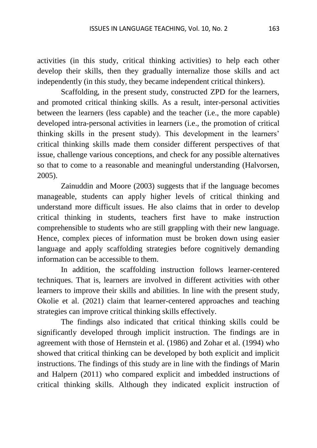activities (in this study, critical thinking activities) to help each other develop their skills, then they gradually internalize those skills and act independently (in this study, they became independent critical thinkers).

Scaffolding, in the present study, constructed ZPD for the learners, and promoted critical thinking skills. As a result, inter-personal activities between the learners (less capable) and the teacher (i.e., the more capable) developed intra-personal activities in learners (i.e., the promotion of critical thinking skills in the present study). This development in the learners' critical thinking skills made them consider different perspectives of that issue, challenge various conceptions, and check for any possible alternatives so that to come to a reasonable and meaningful understanding (Halvorsen, 2005).

Zainuddin and Moore (2003) suggests that if the language becomes manageable, students can apply higher levels of critical thinking and understand more difficult issues. He also claims that in order to develop critical thinking in students, teachers first have to make instruction comprehensible to students who are still grappling with their new language. Hence, complex pieces of information must be broken down using easier language and apply scaffolding strategies before cognitively demanding information can be accessible to them.

In addition, the scaffolding instruction follows learner-centered techniques. That is, learners are involved in different activities with other learners to improve their skills and abilities. In line with the present study, Okolie et al. (2021) claim that learner-centered approaches and teaching strategies can improve critical thinking skills effectively.

The findings also indicated that critical thinking skills could be significantly developed through implicit instruction. The findings are in agreement with those of Hernstein et al. (1986) and Zohar et al. (1994) who showed that critical thinking can be developed by both explicit and implicit instructions. The findings of this study are in line with the findings of Marin and Halpern (2011) who compared explicit and imbedded instructions of critical thinking skills. Although they indicated explicit instruction of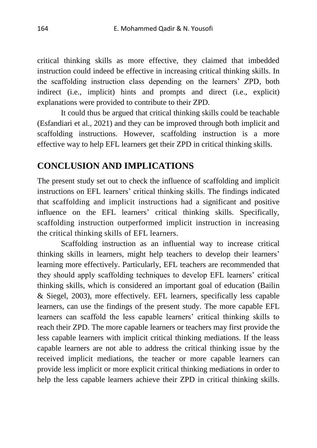critical thinking skills as more effective, they claimed that imbedded instruction could indeed be effective in increasing critical thinking skills. In the scaffolding instruction class depending on the learners' ZPD, both indirect (i.e., implicit) hints and prompts and direct (i.e., explicit) explanations were provided to contribute to their ZPD.

It could thus be argued that critical thinking skills could be teachable (Esfandiari et al., 2021) and they can be improved through both implicit and scaffolding instructions. However, scaffolding instruction is a more effective way to help EFL learners get their ZPD in critical thinking skills.

## **CONCLUSION AND IMPLICATIONS**

The present study set out to check the influence of scaffolding and implicit instructions on EFL learners' critical thinking skills. The findings indicated that scaffolding and implicit instructions had a significant and positive influence on the EFL learners' critical thinking skills. Specifically, scaffolding instruction outperformed implicit instruction in increasing the critical thinking skills of EFL learners.

Scaffolding instruction as an influential way to increase critical thinking skills in learners, might help teachers to develop their learners' learning more effectively. Particularly, EFL teachers are recommended that they should apply scaffolding techniques to develop EFL learners' critical thinking skills, which is considered an important goal of education (Bailin & Siegel, 2003), more effectively. EFL learners, specifically less capable learners, can use the findings of the present study. The more capable EFL learners can scaffold the less capable learners' critical thinking skills to reach their ZPD. The more capable learners or teachers may first provide the less capable learners with implicit critical thinking mediations. If the leass capable learners are not able to address the critical thinking issue by the received implicit mediations, the teacher or more capable learners can provide less implicit or more explicit critical thinking mediations in order to help the less capable learners achieve their ZPD in critical thinking skills.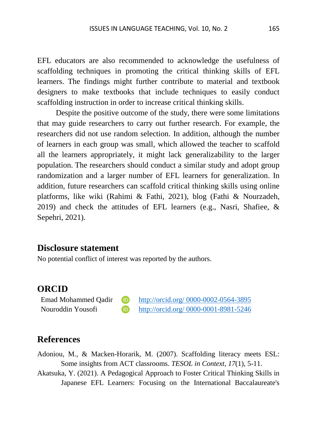EFL educators are also recommended to acknowledge the usefulness of scaffolding techniques in promoting the critical thinking skills of EFL learners. The findings might further contribute to material and textbook designers to make textbooks that include techniques to easily conduct scaffolding instruction in order to increase critical thinking skills.

Despite the positive outcome of the study, there were some limitations that may guide researchers to carry out further research. For example, the researchers did not use random selection. In addition, although the number of learners in each group was small, which allowed the teacher to scaffold all the learners appropriately, it might lack generalizability to the larger population. The researchers should conduct a similar study and adopt group randomization and a larger number of EFL learners for generalization. In addition, future researchers can scaffold critical thinking skills using online platforms, like wiki (Rahimi & Fathi, 2021), blog (Fathi & Nourzadeh, 2019) and check the attitudes of EFL learners (e.g., Nasri, Shafiee, & Sepehri, 2021).

#### **Disclosure statement**

No potential conflict of interest was reported by the authors.

#### **ORCID**

Emad Mohammed Oadir **D** [http://orcid.org/ 0000-0002-0564-3895](http://orcid.org/%200000-0002-0564-3895) Nouroddin Yousofi [http://orcid.org/ 0000-0001-8981-5246](http://orcid.org/%200000-0001-8981-5246)

#### **References**

Adoniou, M., & Macken-Horarik, M. (2007). Scaffolding literacy meets ESL: Some insights from ACT classrooms. *TESOL in Context*, *17*(1), 5-11.

Akatsuka, Y. (2021). A Pedagogical Approach to Foster Critical Thinking Skills in Japanese EFL Learners: Focusing on the International Baccalaureate's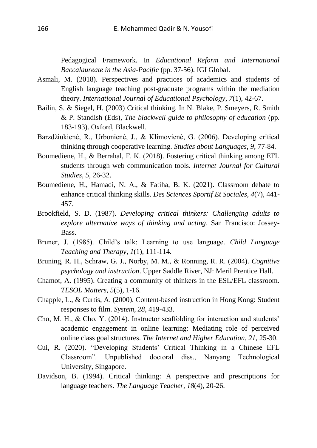Pedagogical Framework. In *Educational Reform and International Baccalaureate in the Asia-Pacific* (pp. 37-56). IGI Global.

- Asmali, M. (2018). Perspectives and practices of academics and students of English language teaching post-graduate programs within the mediation theory. *International Journal of Educational Psychology*, *7*(1), 42-67.
- Bailin, S. & Siegel, H. (2003) Critical thinking. In N. Blake, P. Smeyers, R. Smith & P. Standish (Eds), *The blackwell guide to philosophy of education* (pp. 183-193). Oxford, Blackwell.
- Barzdžiukienė, R., Urbonienė, J., & Klimovienė, G. (2006). Developing critical thinking through cooperative learning. *Studies about Languages, 9*, 77-84*.*
- Boumediene, H., & Berrahal, F. K. (2018). Fostering critical thinking among EFL students through web communication tools. *Internet Journal for Cultural Studies, 5*, 26-32.
- Boumediene, H., Hamadi, N. A., & Fatiha, B. K. (2021). Classroom debate to enhance critical thinking skills. *Des Sciences Sportif Et Sociales, 4*(7), 441- 457.
- Brookfield, S. D. (1987). *Developing critical thinkers: Challenging adults to explore alternative ways of thinking and acting*. San Francisco: Jossey-**Bass**.
- Bruner, J. (1985). Child's talk: Learning to use language. *Child Language Teaching and Therapy*, *1*(1), 111-114.
- Bruning, R. H., Schraw, G. J., Norby, M. M., & Ronning, R. R. (2004). *Cognitive psychology and instruction*. Upper Saddle River, NJ: Meril Prentice Hall.
- Chamot, A. (1995). Creating a community of thinkers in the ESL/EFL classroom. *TESOL Matters, 5*(5)*,* 1-16.
- Chapple, L., & Curtis, A. (2000). Content-based instruction in Hong Kong: Student responses to film. *System, 28*, 419-433.
- Cho, M. H., & Cho, Y. (2014). Instructor scaffolding for interaction and students' academic engagement in online learning: Mediating role of perceived online class goal structures. *The Internet and Higher Education*, *21*, 25-30.
- Cui, R. (2020). "Developing Students' Critical Thinking in a Chinese EFL Classroom". Unpublished doctoral diss., Nanyang Technological University, Singapore.
- Davidson, B. (1994). Critical thinking: A perspective and prescriptions for language teachers. *The Language Teacher, 18*(4), 20-26.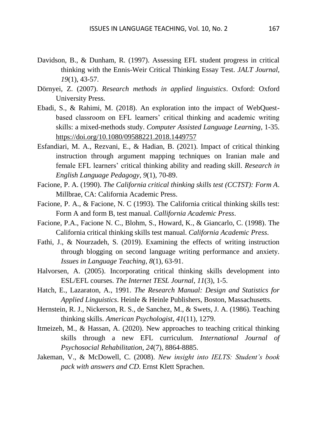- Davidson, B., & Dunham, R. (1997). Assessing EFL student progress in critical thinking with the Ennis-Weir Critical Thinking Essay Test. *JALT Journal, 19*(1), 43-57.
- Dörnyei, Z. (2007). *Research methods in applied linguistics*. Oxford: Oxford University Press.
- Ebadi, S., & Rahimi, M. (2018). An exploration into the impact of WebQuestbased classroom on EFL learners' critical thinking and academic writing skills: a mixed-methods study. *Computer Assisted Language Learning*, 1-35. <https://doi.org/10.1080/09588221.2018.1449757>
- Esfandiari, M. A., Rezvani, E., & Hadian, B. (2021). Impact of critical thinking instruction through argument mapping techniques on Iranian male and female EFL learners' critical thinking ability and reading skill. *Research in English Language Pedagogy*, *9*(1), 70-89.
- Facione, P. A. (1990). *The California critical thinking skills test (CCTST): Form A*. Millbrae, CA: California Academic Press.
- Facione, P. A., & Facione, N. C (1993). The California critical thinking skills test: Form A and form B, test manual. *Callifornia Academic Press*.
- Facione, P.A., Facione N. C., Blohm, S., Howard, K., & Giancarlo, C. (1998). The California critical thinking skills test manual. *California Academic Press*.
- Fathi, J., & Nourzadeh, S. (2019). Examining the effects of writing instruction through blogging on second language writing performance and anxiety. *Issues in Language Teaching*, *8*(1), 63-91.
- Halvorsen, A. (2005). Incorporating critical thinking skills development into ESL/EFL courses. *The Internet TESL Journal*, *11*(3), 1-5.
- Hatch, E., Lazaraton, A., 1991. *The Research Manual: Design and Statistics for Applied Linguistics*. Heinle & Heinle Publishers, Boston, Massachusetts.
- Hernstein, R. J., Nickerson, R. S., de Sanchez, M., & Swets, J. A. (1986). Teaching thinking skills. *American Psychologist*, *41*(11), 1279.
- Itmeizeh, M., & Hassan, A. (2020). New approaches to teaching critical thinking skills through a new EFL curriculum. *International Journal of Psychosocial Rehabilitation*, *24*(7), 8864-8885.
- Jakeman, V., & McDowell, C. (2008). *New insight into IELTS: Student's book pack with answers and CD*. Ernst Klett Sprachen.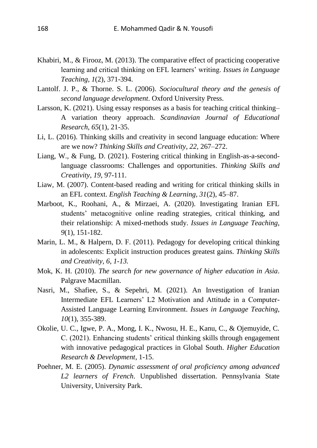- Khabiri, M., & Firooz, M. (2013). The comparative effect of practicing cooperative learning and critical thinking on EFL learners' writing. *Issues in Language Teaching*, *1*(2), 371-394.
- Lantolf. J. P., & Thorne. S. L. (2006). *Sociocultural theory and the genesis of second language development*. Oxford University Press.
- Larsson, K. (2021). Using essay responses as a basis for teaching critical thinking– A variation theory approach. *Scandinavian Journal of Educational Research, 65*(1), 21-35.
- Li, L. (2016). Thinking skills and creativity in second language education: Where are we now? *Thinking Skills and Creativity, 22*, 267–272.
- Liang, W., & Fung, D. (2021). Fostering critical thinking in English-as-a-secondlanguage classrooms: Challenges and opportunities. *Thinking Skills and Creativity*, *19*, 97-111.
- Liaw, M. (2007). Content-based reading and writing for critical thinking skills in an EFL context. *English Teaching & Learning, 31*(2), 45–87.
- Marboot, K., Roohani, A., & Mirzaei, A. (2020). Investigating Iranian EFL students' metacognitive online reading strategies, critical thinking, and their relationship: A mixed-methods study. *Issues in Language Teaching*, *9*(1), 151-182.
- Marin, L. M., & Halpern, D. F. (2011). Pedagogy for developing critical thinking in adolescents: Explicit instruction produces greatest gains. *Thinking Skills and Creativity, 6, 1-13.*
- Mok, K. H. (2010). *The search for new governance of higher education in Asia*. Palgrave Macmillan.
- Nasri, M., Shafiee, S., & Sepehri, M. (2021). An Investigation of Iranian Intermediate EFL Learners' L2 Motivation and Attitude in a Computer-Assisted Language Learning Environment. *Issues in Language Teaching*, *10*(1), 355-389.
- Okolie, U. C., Igwe, P. A., Mong, I. K., Nwosu, H. E., Kanu, C., & Ojemuyide, C. C. (2021). Enhancing students' critical thinking skills through engagement with innovative pedagogical practices in Global South. *Higher Education Research & Development*, 1-15.
- Poehner, M. E. (2005). *Dynamic assessment of oral proficiency among advanced L2 learners of French*. Unpublished dissertation. Pennsylvania State University, University Park.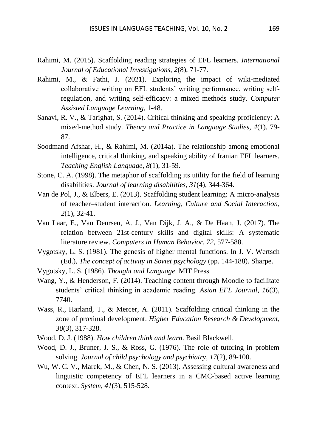- Rahimi, M. (2015). Scaffolding reading strategies of EFL learners. *International Journal of Educational Investigations, 2*(8), 71-77.
- Rahimi, M., & Fathi, J. (2021). Exploring the impact of wiki-mediated collaborative writing on EFL students' writing performance, writing selfregulation, and writing self-efficacy: a mixed methods study. *Computer Assisted Language Learning*, 1-48.
- Sanavi, R. V., & Tarighat, S. (2014). Critical thinking and speaking proficiency: A mixed-method study. *Theory and Practice in Language Studies, 4*(1), 79- 87.
- Soodmand Afshar, H., & Rahimi, M. (2014a). The relationship among emotional intelligence, critical thinking, and speaking ability of Iranian EFL learners. *Teaching English Language, 8*(1), 31-59.
- Stone, C. A. (1998). The metaphor of scaffolding its utility for the field of learning disabilities. *Journal of learning disabilities*, *31*(4), 344-364.
- Van de Pol, J., & Elbers, E. (2013). Scaffolding student learning: A micro-analysis of teacher–student interaction. *Learning, Culture and Social Interaction*, *2*(1), 32-41.
- Van Laar, E., Van Deursen, A. J., Van Dijk, J. A., & De Haan, J. (2017). The relation between 21st-century skills and digital skills: A systematic literature review. *Computers in Human Behavior, 72*, 577-588.
- Vygotsky, L. S. (1981). The genesis of higher mental functions. In J. V. Wertsch (Ed.), *The concept of activity in Soviet psychology* (pp. 144-188). Sharpe.
- Vygotsky, L. S. (1986). *Thought and Language*. MIT Press.
- Wang, Y., & Henderson, F. (2014). Teaching content through Moodle to facilitate students' critical thinking in academic reading. *Asian EFL Journal, 16*(3), 7740.
- Wass, R., Harland, T., & Mercer, A. (2011). Scaffolding critical thinking in the zone of proximal development. *Higher Education Research & Development*, *30*(3), 317-328.
- Wood, D. J. (1988). *How children think and learn*. Basil Blackwell.
- Wood, D. J., Bruner, J. S., & Ross, G. (1976). The role of tutoring in problem solving. *Journal of child psychology and psychiatry*, *17*(2), 89-100.
- Wu, W. C. V., Marek, M., & Chen, N. S. (2013). Assessing cultural awareness and linguistic competency of EFL learners in a CMC-based active learning context. *System, 41*(3), 515-528.